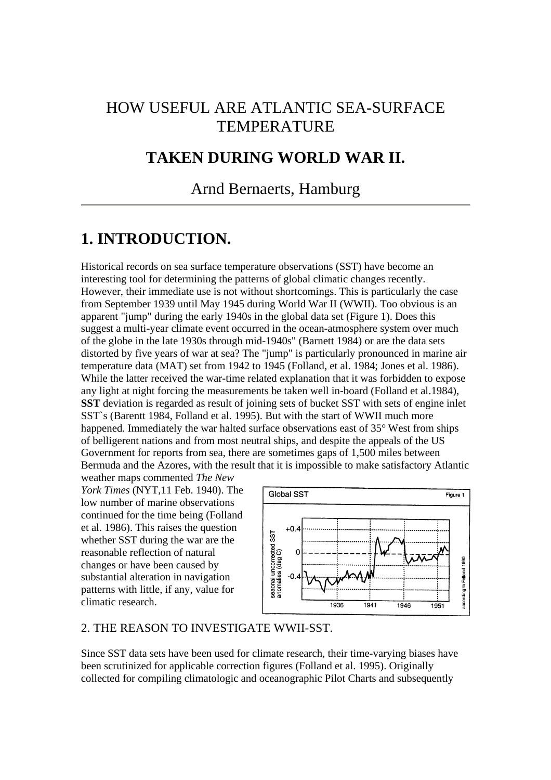# HOW USEFUL ARE ATLANTIC SEA-SURFACE **TEMPERATURE**

## **TAKEN DURING WORLD WAR II.**

## Arnd Bernaerts, Hamburg

## **1. INTRODUCTION.**

Historical records on sea surface temperature observations (SST) have become an interesting tool for determining the patterns of global climatic changes recently. However, their immediate use is not without shortcomings. This is particularly the case from September 1939 until May 1945 during World War II (WWII). Too obvious is an apparent "jump" during the early 1940s in the global data set (Figure 1). Does this suggest a multi-year climate event occurred in the ocean-atmosphere system over much of the globe in the late 1930s through mid-1940s" (Barnett 1984) or are the data sets distorted by five years of war at sea? The "jump" is particularly pronounced in marine air temperature data (MAT) set from 1942 to 1945 (Folland, et al. 1984; Jones et al. 1986). While the latter received the war-time related explanation that it was forbidden to expose any light at night forcing the measurements be taken well in-board (Folland et al.1984), **SST** deviation is regarded as result of joining sets of bucket SST with sets of engine inlet SST`s (Barentt 1984, Folland et al. 1995). But with the start of WWII much more happened. Immediately the war halted surface observations east of 35° West from ships of belligerent nations and from most neutral ships, and despite the appeals of the US Government for reports from sea, there are sometimes gaps of 1,500 miles between Bermuda and the Azores, with the result that it is impossible to make satisfactory Atlantic

weather maps commented *The New York Times* (NYT,11 Feb. 1940). The low number of marine observations continued for the time being (Folland et al. 1986). This raises the question whether SST during the war are the reasonable reflection of natural changes or have been caused by substantial alteration in navigation patterns with little, if any, value for climatic research.



## 2. THE REASON TO INVESTIGATE WWII-SST.

Since SST data sets have been used for climate research, their time-varying biases have been scrutinized for applicable correction figures (Folland et al. 1995). Originally collected for compiling climatologic and oceanographic Pilot Charts and subsequently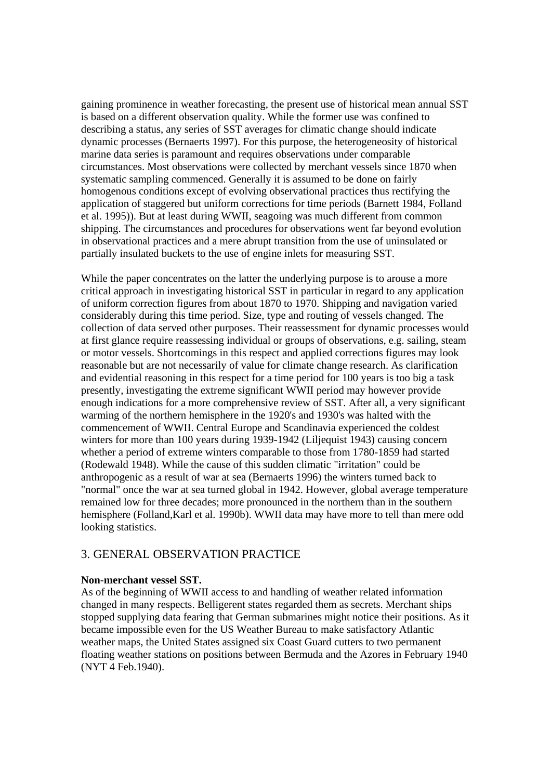gaining prominence in weather forecasting, the present use of historical mean annual SST is based on a different observation quality. While the former use was confined to describing a status, any series of SST averages for climatic change should indicate dynamic processes (Bernaerts 1997). For this purpose, the heterogeneosity of historical marine data series is paramount and requires observations under comparable circumstances. Most observations were collected by merchant vessels since 1870 when systematic sampling commenced. Generally it is assumed to be done on fairly homogenous conditions except of evolving observational practices thus rectifying the application of staggered but uniform corrections for time periods (Barnett 1984, Folland et al. 1995)). But at least during WWII, seagoing was much different from common shipping. The circumstances and procedures for observations went far beyond evolution in observational practices and a mere abrupt transition from the use of uninsulated or partially insulated buckets to the use of engine inlets for measuring SST.

While the paper concentrates on the latter the underlying purpose is to arouse a more critical approach in investigating historical SST in particular in regard to any application of uniform correction figures from about 1870 to 1970. Shipping and navigation varied considerably during this time period. Size, type and routing of vessels changed. The collection of data served other purposes. Their reassessment for dynamic processes would at first glance require reassessing individual or groups of observations, e.g. sailing, steam or motor vessels. Shortcomings in this respect and applied corrections figures may look reasonable but are not necessarily of value for climate change research. As clarification and evidential reasoning in this respect for a time period for 100 years is too big a task presently, investigating the extreme significant WWII period may however provide enough indications for a more comprehensive review of SST. After all, a very significant warming of the northern hemisphere in the 1920's and 1930's was halted with the commencement of WWII. Central Europe and Scandinavia experienced the coldest winters for more than 100 years during 1939-1942 (Liljequist 1943) causing concern whether a period of extreme winters comparable to those from 1780-1859 had started (Rodewald 1948). While the cause of this sudden climatic "irritation" could be anthropogenic as a result of war at sea (Bernaerts 1996) the winters turned back to "normal" once the war at sea turned global in 1942. However, global average temperature remained low for three decades; more pronounced in the northern than in the southern hemisphere (Folland,Karl et al. 1990b). WWII data may have more to tell than mere odd looking statistics.

## 3. GENERAL OBSERVATION PRACTICE

### **Non-merchant vessel SST.**

As of the beginning of WWII access to and handling of weather related information changed in many respects. Belligerent states regarded them as secrets. Merchant ships stopped supplying data fearing that German submarines might notice their positions. As it became impossible even for the US Weather Bureau to make satisfactory Atlantic weather maps, the United States assigned six Coast Guard cutters to two permanent floating weather stations on positions between Bermuda and the Azores in February 1940 (NYT 4 Feb.1940).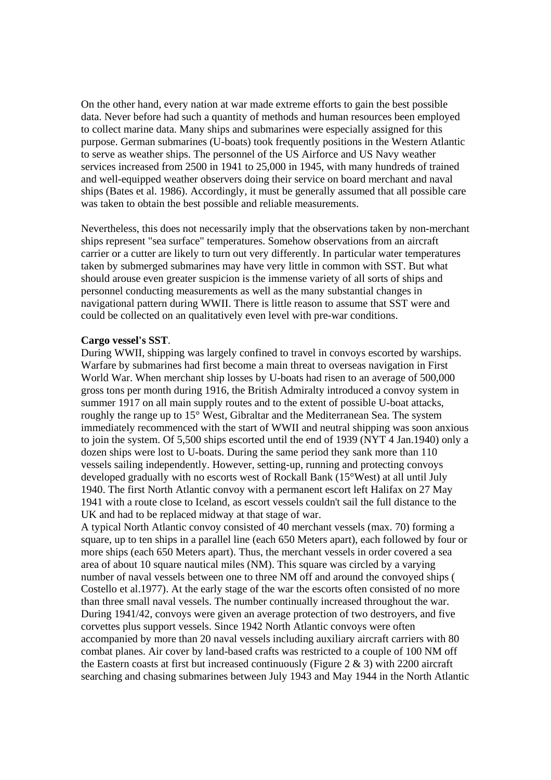On the other hand, every nation at war made extreme efforts to gain the best possible data. Never before had such a quantity of methods and human resources been employed to collect marine data. Many ships and submarines were especially assigned for this purpose. German submarines (U-boats) took frequently positions in the Western Atlantic to serve as weather ships. The personnel of the US Airforce and US Navy weather services increased from 2500 in 1941 to 25,000 in 1945, with many hundreds of trained and well-equipped weather observers doing their service on board merchant and naval ships (Bates et al. 1986). Accordingly, it must be generally assumed that all possible care was taken to obtain the best possible and reliable measurements.

Nevertheless, this does not necessarily imply that the observations taken by non-merchant ships represent "sea surface" temperatures. Somehow observations from an aircraft carrier or a cutter are likely to turn out very differently. In particular water temperatures taken by submerged submarines may have very little in common with SST. But what should arouse even greater suspicion is the immense variety of all sorts of ships and personnel conducting measurements as well as the many substantial changes in navigational pattern during WWII. There is little reason to assume that SST were and could be collected on an qualitatively even level with pre-war conditions.

### **Cargo vessel's SST**.

During WWII, shipping was largely confined to travel in convoys escorted by warships. Warfare by submarines had first become a main threat to overseas navigation in First World War. When merchant ship losses by U-boats had risen to an average of 500,000 gross tons per month during 1916, the British Admiralty introduced a convoy system in summer 1917 on all main supply routes and to the extent of possible U-boat attacks, roughly the range up to 15° West, Gibraltar and the Mediterranean Sea. The system immediately recommenced with the start of WWII and neutral shipping was soon anxious to join the system. Of 5,500 ships escorted until the end of 1939 (NYT 4 Jan.1940) only a dozen ships were lost to U-boats. During the same period they sank more than 110 vessels sailing independently. However, setting-up, running and protecting convoys developed gradually with no escorts west of Rockall Bank (15°West) at all until July 1940. The first North Atlantic convoy with a permanent escort left Halifax on 27 May 1941 with a route close to Iceland, as escort vessels couldn't sail the full distance to the UK and had to be replaced midway at that stage of war.

A typical North Atlantic convoy consisted of 40 merchant vessels (max. 70) forming a square, up to ten ships in a parallel line (each 650 Meters apart), each followed by four or more ships (each 650 Meters apart). Thus, the merchant vessels in order covered a sea area of about 10 square nautical miles (NM). This square was circled by a varying number of naval vessels between one to three NM off and around the convoyed ships ( Costello et al.1977). At the early stage of the war the escorts often consisted of no more than three small naval vessels. The number continually increased throughout the war. During 1941/42, convoys were given an average protection of two destroyers, and five corvettes plus support vessels. Since 1942 North Atlantic convoys were often accompanied by more than 20 naval vessels including auxiliary aircraft carriers with 80 combat planes. Air cover by land-based crafts was restricted to a couple of 100 NM off the Eastern coasts at first but increased continuously (Figure  $2 \& 3$ ) with 2200 aircraft searching and chasing submarines between July 1943 and May 1944 in the North Atlantic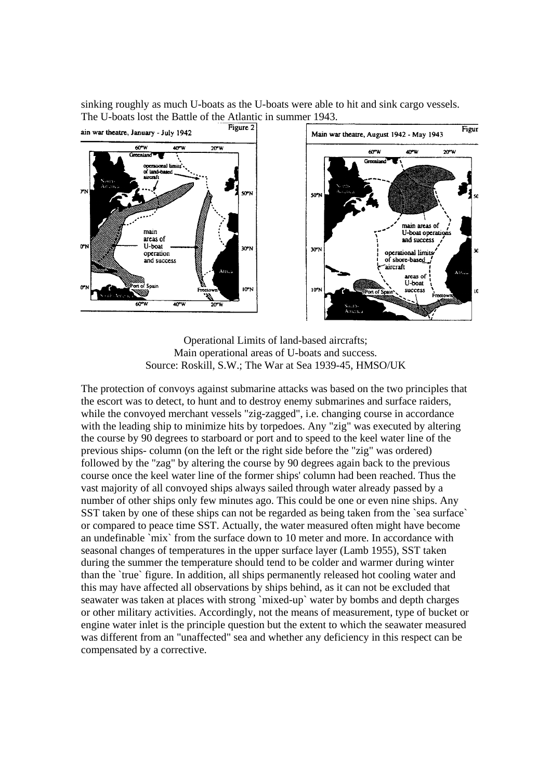sinking roughly as much U-boats as the U-boats were able to hit and sink cargo vessels. The U-boats lost the Battle of the Atlantic in summer 1943.



Operational Limits of land-based aircrafts; Main operational areas of U-boats and success. Source: Roskill, S.W.; The War at Sea 1939-45, HMSO/UK

The protection of convoys against submarine attacks was based on the two principles that the escort was to detect, to hunt and to destroy enemy submarines and surface raiders, while the convoyed merchant vessels "zig-zagged", i.e. changing course in accordance with the leading ship to minimize hits by torpedoes. Any "zig" was executed by altering the course by 90 degrees to starboard or port and to speed to the keel water line of the previous ships- column (on the left or the right side before the "zig" was ordered) followed by the "zag" by altering the course by 90 degrees again back to the previous course once the keel water line of the former ships' column had been reached. Thus the vast majority of all convoyed ships always sailed through water already passed by a number of other ships only few minutes ago. This could be one or even nine ships. Any SST taken by one of these ships can not be regarded as being taken from the `sea surface` or compared to peace time SST. Actually, the water measured often might have become an undefinable `mix` from the surface down to 10 meter and more. In accordance with seasonal changes of temperatures in the upper surface layer (Lamb 1955), SST taken during the summer the temperature should tend to be colder and warmer during winter than the `true` figure. In addition, all ships permanently released hot cooling water and this may have affected all observations by ships behind, as it can not be excluded that seawater was taken at places with strong `mixed-up` water by bombs and depth charges or other military activities. Accordingly, not the means of measurement, type of bucket or engine water inlet is the principle question but the extent to which the seawater measured was different from an "unaffected" sea and whether any deficiency in this respect can be compensated by a corrective.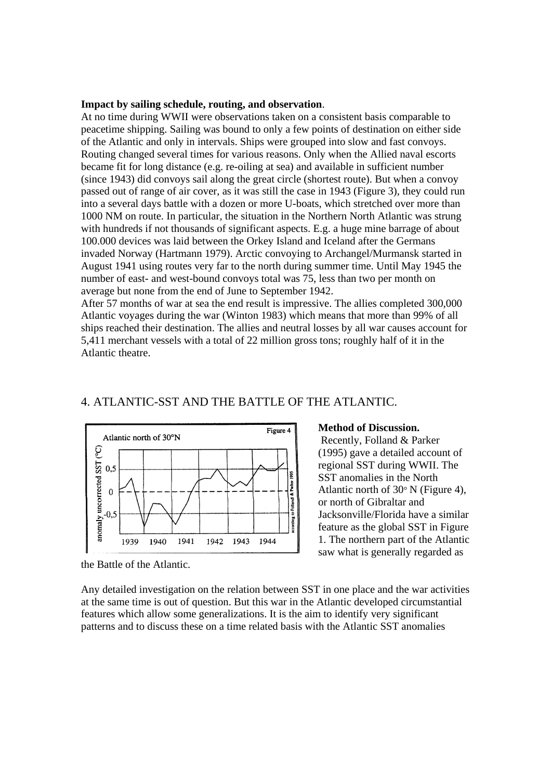#### **Impact by sailing schedule, routing, and observation**.

At no time during WWII were observations taken on a consistent basis comparable to peacetime shipping. Sailing was bound to only a few points of destination on either side of the Atlantic and only in intervals. Ships were grouped into slow and fast convoys. Routing changed several times for various reasons. Only when the Allied naval escorts became fit for long distance (e.g. re-oiling at sea) and available in sufficient number (since 1943) did convoys sail along the great circle (shortest route). But when a convoy passed out of range of air cover, as it was still the case in 1943 (Figure 3), they could run into a several days battle with a dozen or more U-boats, which stretched over more than 1000 NM on route. In particular, the situation in the Northern North Atlantic was strung with hundreds if not thousands of significant aspects. E.g. a huge mine barrage of about 100.000 devices was laid between the Orkey Island and Iceland after the Germans invaded Norway (Hartmann 1979). Arctic convoying to Archangel/Murmansk started in August 1941 using routes very far to the north during summer time. Until May 1945 the number of east- and west-bound convoys total was 75, less than two per month on average but none from the end of June to September 1942.

After 57 months of war at sea the end result is impressive. The allies completed 300,000 Atlantic voyages during the war (Winton 1983) which means that more than 99% of all ships reached their destination. The allies and neutral losses by all war causes account for 5,411 merchant vessels with a total of 22 million gross tons; roughly half of it in the Atlantic theatre.



### 4. ATLANTIC-SST AND THE BATTLE OF THE ATLANTIC.

## **Method of Discussion.**

 Recently, Folland & Parker (1995) gave a detailed account of regional SST during WWII. The SST anomalies in the North Atlantic north of 30° N (Figure 4), or north of Gibraltar and Jacksonville/Florida have a similar feature as the global SST in Figure 1. The northern part of the Atlantic saw what is generally regarded as

Any detailed investigation on the relation between SST in one place and the war activities at the same time is out of question. But this war in the Atlantic developed circumstantial features which allow some generalizations. It is the aim to identify very significant patterns and to discuss these on a time related basis with the Atlantic SST anomalies

the Battle of the Atlantic.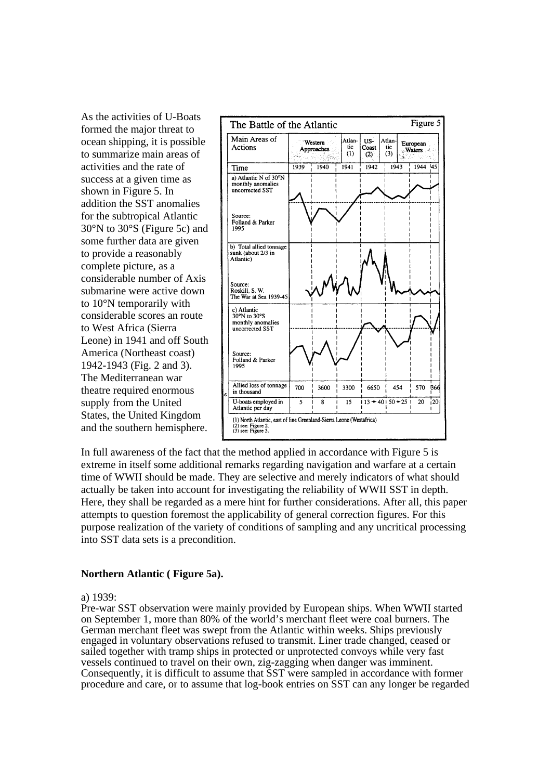As the activities of U-Boats formed the major threat to ocean shipping, it is possible to summarize main areas of activities and the rate of success at a given time as shown in Figure 5. In addition the SST anomalies for the subtropical Atlantic 30°N to 30°S (Figure 5c) and some further data are given to provide a reasonably complete picture, as a considerable number of Axis submarine were active down to 10°N temporarily with considerable scores an route to West Africa (Sierra Leone) in 1941 and off South America (Northeast coast) 1942-1943 (Fig. 2 and 3). The Mediterranean war theatre required enormous supply from the United States, the United Kingdom and the southern hemisphere.



In full awareness of the fact that the method applied in accordance with Figure 5 is extreme in itself some additional remarks regarding navigation and warfare at a certain time of WWII should be made. They are selective and merely indicators of what should actually be taken into account for investigating the reliability of WWII SST in depth. Here, they shall be regarded as a mere hint for further considerations. After all, this paper attempts to question foremost the applicability of general correction figures. For this purpose realization of the variety of conditions of sampling and any uncritical processing into SST data sets is a precondition.

### **Northern Atlantic ( Figure 5a).**

#### a) 1939:

Pre-war SST observation were mainly provided by European ships. When WWII started on September 1, more than 80% of the world's merchant fleet were coal burners. The German merchant fleet was swept from the Atlantic within weeks. Ships previously engaged in voluntary observations refused to transmit. Liner trade changed, ceased or sailed together with tramp ships in protected or unprotected convoys while very fast vessels continued to travel on their own, zig-zagging when danger was imminent. Consequently, it is difficult to assume that SST were sampled in accordance with former procedure and care, or to assume that log-book entries on SST can any longer be regarded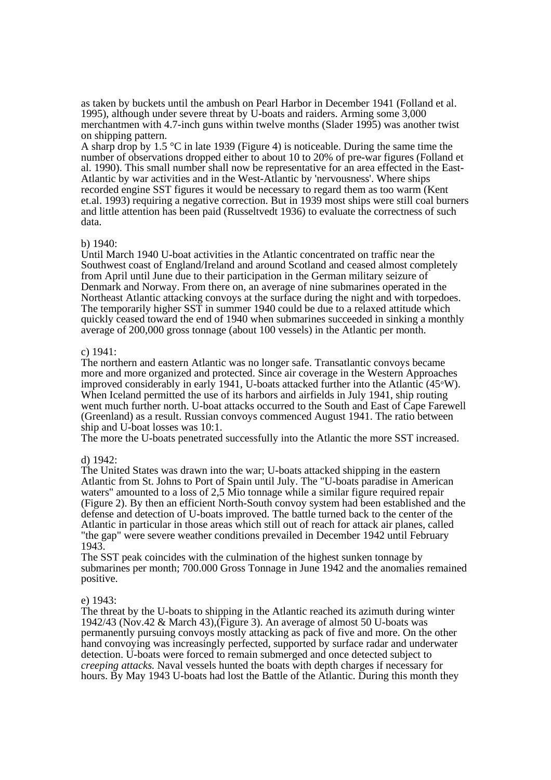as taken by buckets until the ambush on Pearl Harbor in December 1941 (Folland et al. 1995), although under severe threat by U-boats and raiders. Arming some 3,000 merchantmen with 4.7-inch guns within twelve months (Slader 1995) was another twist on shipping pattern.

A sharp drop by 1.5 °C in late 1939 (Figure 4) is noticeable. During the same time the number of observations dropped either to about 10 to 20% of pre-war figures (Folland et al. 1990). This small number shall now be representative for an area effected in the East-Atlantic by war activities and in the West-Atlantic by 'nervousness'. Where ships recorded engine SST figures it would be necessary to regard them as too warm (Kent et.al. 1993) requiring a negative correction. But in 1939 most ships were still coal burners and little attention has been paid (Russeltvedt 1936) to evaluate the correctness of such data.

### b) 1940:

Until March 1940 U-boat activities in the Atlantic concentrated on traffic near the Southwest coast of England/Ireland and around Scotland and ceased almost completely from April until June due to their participation in the German military seizure of Denmark and Norway. From there on, an average of nine submarines operated in the Northeast Atlantic attacking convoys at the surface during the night and with torpedoes. The temporarily higher SST in summer 1940 could be due to a relaxed attitude which quickly ceased toward the end of 1940 when submarines succeeded in sinking a monthly average of 200,000 gross tonnage (about 100 vessels) in the Atlantic per month.

### c) 1941:

The northern and eastern Atlantic was no longer safe. Transatlantic convoys became more and more organized and protected. Since air coverage in the Western Approaches improved considerably in early 1941, U-boats attacked further into the Atlantic (45°W). When Iceland permitted the use of its harbors and airfields in July 1941, ship routing went much further north. U-boat attacks occurred to the South and East of Cape Farewell (Greenland) as a result. Russian convoys commenced August 1941. The ratio between ship and U-boat losses was 10:1.

The more the U-boats penetrated successfully into the Atlantic the more SST increased.

### d) 1942:

The United States was drawn into the war; U-boats attacked shipping in the eastern Atlantic from St. Johns to Port of Spain until July. The "U-boats paradise in American waters" amounted to a loss of 2.5 Mio tonnage while a similar figure required repair (Figure 2). By then an efficient North-South convoy system had been established and the defense and detection of U-boats improved. The battle turned back to the center of the Atlantic in particular in those areas which still out of reach for attack air planes, called "the gap" were severe weather conditions prevailed in December 1942 until February 1943.

The SST peak coincides with the culmination of the highest sunken tonnage by submarines per month; 700.000 Gross Tonnage in June 1942 and the anomalies remained positive.

### e) 1943:

The threat by the U-boats to shipping in the Atlantic reached its azimuth during winter 1942/43 (Nov.42 & March 43),(Figure 3). An average of almost 50 U-boats was permanently pursuing convoys mostly attacking as pack of five and more. On the other hand convoying was increasingly perfected, supported by surface radar and underwater detection. U-boats were forced to remain submerged and once detected subject to *creeping attacks.* Naval vessels hunted the boats with depth charges if necessary for hours. By May 1943 U-boats had lost the Battle of the Atlantic. During this month they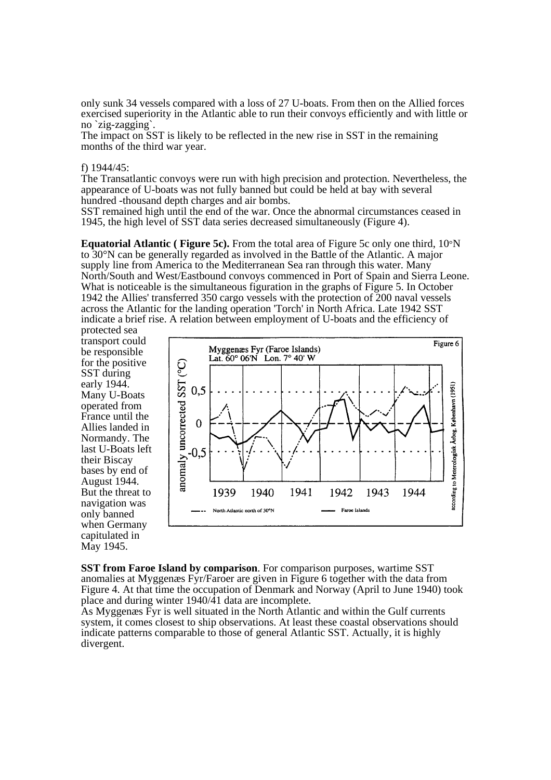only sunk 34 vessels compared with a loss of 27 U-boats. From then on the Allied forces exercised superiority in the Atlantic able to run their convoys efficiently and with little or no `zig-zagging`.

The impact on SST is likely to be reflected in the new rise in SST in the remaining months of the third war year.

#### f) 1944/45:

The Transatlantic convoys were run with high precision and protection. Nevertheless, the appearance of U-boats was not fully banned but could be held at bay with several hundred -thousand depth charges and air bombs.

SST remained high until the end of the war. Once the abnormal circumstances ceased in 1945, the high level of SST data series decreased simultaneously (Figure 4).

**Equatorial Atlantic ( Figure 5c).** From the total area of Figure 5c only one third, 10°N to 30°N can be generally regarded as involved in the Battle of the Atlantic. A major supply line from America to the Mediterranean Sea ran through this water. Many North/South and West/Eastbound convoys commenced in Port of Spain and Sierra Leone. What is noticeable is the simultaneous figuration in the graphs of Figure 5. In October 1942 the Allies' transferred 350 cargo vessels with the protection of 200 naval vessels across the Atlantic for the landing operation 'Torch' in North Africa. Late 1942 SST indicate a brief rise. A relation between employment of U-boats and the efficiency of

protected sea transport could be responsible for the positive SST during early 1944. Many U-Boats operated from France until the Allies landed in Normandy. The last U-Boats left their Biscay bases by end of August 1944. But the threat to navigation was only banned when Germany capitulated in May 1945.



**SST from Faroe Island by comparison**. For comparison purposes, wartime SST anomalies at Myggenæs Fyr/Faroer are given in Figure 6 together with the data from Figure 4. At that time the occupation of Denmark and Norway (April to June 1940) took place and during winter  $1940/\overline{4}1$  data are incomplete.

As Myggenæs Fyr is well situated in the North Atlantic and within the Gulf currents system, it comes closest to ship observations. At least these coastal observations should indicate patterns comparable to those of general Atlantic SST. Actually, it is highly divergent.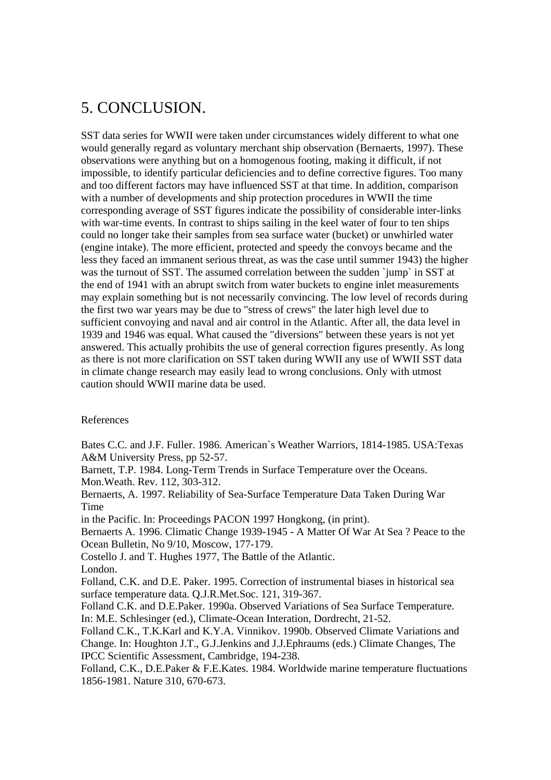# 5. CONCLUSION.

SST data series for WWII were taken under circumstances widely different to what one would generally regard as voluntary merchant ship observation (Bernaerts, 1997). These observations were anything but on a homogenous footing, making it difficult, if not impossible, to identify particular deficiencies and to define corrective figures. Too many and too different factors may have influenced SST at that time. In addition, comparison with a number of developments and ship protection procedures in WWII the time corresponding average of SST figures indicate the possibility of considerable inter-links with war-time events. In contrast to ships sailing in the keel water of four to ten ships could no longer take their samples from sea surface water (bucket) or unwhirled water (engine intake). The more efficient, protected and speedy the convoys became and the less they faced an immanent serious threat, as was the case until summer 1943) the higher was the turnout of SST. The assumed correlation between the sudden `jump` in SST at the end of 1941 with an abrupt switch from water buckets to engine inlet measurements may explain something but is not necessarily convincing. The low level of records during the first two war years may be due to "stress of crews" the later high level due to sufficient convoying and naval and air control in the Atlantic. After all, the data level in 1939 and 1946 was equal. What caused the "diversions" between these years is not yet answered. This actually prohibits the use of general correction figures presently. As long as there is not more clarification on SST taken during WWII any use of WWII SST data in climate change research may easily lead to wrong conclusions. Only with utmost caution should WWII marine data be used.

## References

Bates C.C. and J.F. Fuller. 1986. American`s Weather Warriors, 1814-1985. USA:Texas A&M University Press, pp 52-57.

Barnett, T.P. 1984. Long-Term Trends in Surface Temperature over the Oceans. Mon.Weath. Rev. 112, 303-312.

Bernaerts, A. 1997. Reliability of Sea-Surface Temperature Data Taken During War Time

in the Pacific. In: Proceedings PACON 1997 Hongkong, (in print).

Bernaerts A. 1996. Climatic Change 1939-1945 - A Matter Of War At Sea ? Peace to the Ocean Bulletin, No 9/10, Moscow, 177-179.

Costello J. and T. Hughes 1977, The Battle of the Atlantic.

London.

Folland, C.K. and D.E. Paker. 1995. Correction of instrumental biases in historical sea surface temperature data. Q.J.R.Met.Soc. 121, 319-367.

Folland C.K. and D.E.Paker. 1990a. Observed Variations of Sea Surface Temperature. In: M.E. Schlesinger (ed.), Climate-Ocean Interation, Dordrecht, 21-52.

Folland C.K., T.K.Karl and K.Y.A. Vinnikov. 1990b. Observed Climate Variations and Change. In: Houghton J.T., G.J.Jenkins and J.J.Ephraums (eds.) Climate Changes, The IPCC Scientific Assessment, Cambridge, 194-238.

Folland, C.K., D.E.Paker & F.E.Kates. 1984. Worldwide marine temperature fluctuations 1856-1981. Nature 310, 670-673.